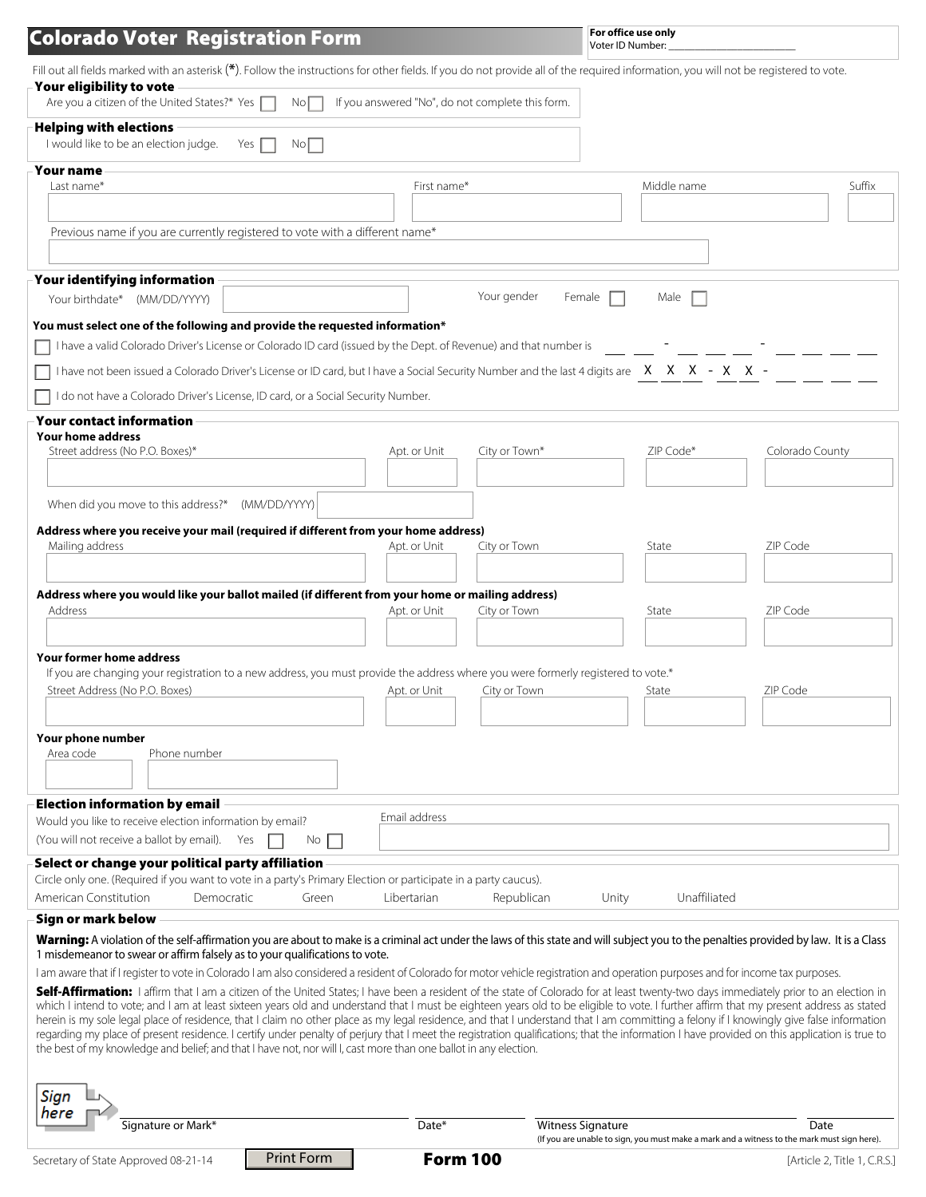# Colorado Voter Registration Form

**For office use only**  Voter ID Number:

| Fill out all fields marked with an asterisk $(*)$ . Follow the instructions for other fields. If you do not provide all of the required information, you will not be reqistered to vote.                                                                                                                                                                                            |                                                  |                          |              |                                                                                                     |
|-------------------------------------------------------------------------------------------------------------------------------------------------------------------------------------------------------------------------------------------------------------------------------------------------------------------------------------------------------------------------------------|--------------------------------------------------|--------------------------|--------------|-----------------------------------------------------------------------------------------------------|
| Your eligibility to vote<br>Are you a citizen of the United States?* Yes<br>No <sub>1</sub>                                                                                                                                                                                                                                                                                         | If you answered "No", do not complete this form. |                          |              |                                                                                                     |
|                                                                                                                                                                                                                                                                                                                                                                                     |                                                  |                          |              |                                                                                                     |
| <b>Helping with elections</b>                                                                                                                                                                                                                                                                                                                                                       |                                                  |                          |              |                                                                                                     |
| I would like to be an election judge.<br>No<br>Yes                                                                                                                                                                                                                                                                                                                                  |                                                  |                          |              |                                                                                                     |
| <b>Your name</b>                                                                                                                                                                                                                                                                                                                                                                    |                                                  |                          |              |                                                                                                     |
| Last name*                                                                                                                                                                                                                                                                                                                                                                          | First name*                                      |                          | Middle name  | Suffix                                                                                              |
|                                                                                                                                                                                                                                                                                                                                                                                     |                                                  |                          |              |                                                                                                     |
| Previous name if you are currently registered to vote with a different name*                                                                                                                                                                                                                                                                                                        |                                                  |                          |              |                                                                                                     |
|                                                                                                                                                                                                                                                                                                                                                                                     |                                                  |                          |              |                                                                                                     |
|                                                                                                                                                                                                                                                                                                                                                                                     |                                                  |                          |              |                                                                                                     |
| Your identifying information                                                                                                                                                                                                                                                                                                                                                        |                                                  | Your gender<br>Female    | Male         |                                                                                                     |
| Your birthdate* (MM/DD/YYYY)                                                                                                                                                                                                                                                                                                                                                        |                                                  |                          |              |                                                                                                     |
| You must select one of the following and provide the requested information*                                                                                                                                                                                                                                                                                                         |                                                  |                          |              |                                                                                                     |
| I have a valid Colorado Driver's License or Colorado ID card (issued by the Dept. of Revenue) and that number is                                                                                                                                                                                                                                                                    |                                                  |                          |              |                                                                                                     |
| have not been issued a Colorado Driver's License or ID card, but I have a Social Security Number and the last 4 digits are X X X - X X -                                                                                                                                                                                                                                            |                                                  |                          |              |                                                                                                     |
| do not have a Colorado Driver's License, ID card, or a Social Security Number.                                                                                                                                                                                                                                                                                                      |                                                  |                          |              |                                                                                                     |
|                                                                                                                                                                                                                                                                                                                                                                                     |                                                  |                          |              |                                                                                                     |
| Your contact information                                                                                                                                                                                                                                                                                                                                                            |                                                  |                          |              |                                                                                                     |
| <b>Your home address</b><br>Street address (No P.O. Boxes)*                                                                                                                                                                                                                                                                                                                         | Apt. or Unit                                     | City or Town*            | ZIP Code*    | Colorado County                                                                                     |
|                                                                                                                                                                                                                                                                                                                                                                                     |                                                  |                          |              |                                                                                                     |
|                                                                                                                                                                                                                                                                                                                                                                                     |                                                  |                          |              |                                                                                                     |
| When did you move to this address?*<br>(MM/DD/YYYY)                                                                                                                                                                                                                                                                                                                                 |                                                  |                          |              |                                                                                                     |
| Address where you receive your mail (required if different from your home address)                                                                                                                                                                                                                                                                                                  |                                                  |                          |              |                                                                                                     |
| Mailing address                                                                                                                                                                                                                                                                                                                                                                     | Apt. or Unit                                     | City or Town             | State        | ZIP Code                                                                                            |
|                                                                                                                                                                                                                                                                                                                                                                                     |                                                  |                          |              |                                                                                                     |
|                                                                                                                                                                                                                                                                                                                                                                                     |                                                  |                          |              |                                                                                                     |
| Address where you would like your ballot mailed (if different from your home or mailing address)<br>Address                                                                                                                                                                                                                                                                         | Apt. or Unit                                     | City or Town             | State        | ZIP Code                                                                                            |
|                                                                                                                                                                                                                                                                                                                                                                                     |                                                  |                          |              |                                                                                                     |
|                                                                                                                                                                                                                                                                                                                                                                                     |                                                  |                          |              |                                                                                                     |
| Your former home address                                                                                                                                                                                                                                                                                                                                                            |                                                  |                          |              |                                                                                                     |
| If you are changing your registration to a new address, you must provide the address where you were formerly registered to vote.*<br>Street Address (No P.O. Boxes)                                                                                                                                                                                                                 | Apt. or Unit                                     | City or Town             | State        | ZIP Code                                                                                            |
|                                                                                                                                                                                                                                                                                                                                                                                     |                                                  |                          |              |                                                                                                     |
|                                                                                                                                                                                                                                                                                                                                                                                     |                                                  |                          |              |                                                                                                     |
| Your phone number                                                                                                                                                                                                                                                                                                                                                                   |                                                  |                          |              |                                                                                                     |
| Phone number<br>Area code                                                                                                                                                                                                                                                                                                                                                           |                                                  |                          |              |                                                                                                     |
|                                                                                                                                                                                                                                                                                                                                                                                     |                                                  |                          |              |                                                                                                     |
| <b>Election information by email</b>                                                                                                                                                                                                                                                                                                                                                |                                                  |                          |              |                                                                                                     |
| Would you like to receive election information by email?                                                                                                                                                                                                                                                                                                                            | Email address                                    |                          |              |                                                                                                     |
| (You will not receive a ballot by email).<br>Yes<br>No.                                                                                                                                                                                                                                                                                                                             |                                                  |                          |              |                                                                                                     |
| Select or change your political party affiliation                                                                                                                                                                                                                                                                                                                                   |                                                  |                          |              |                                                                                                     |
| Circle only one. (Required if you want to vote in a party's Primary Election or participate in a party caucus).                                                                                                                                                                                                                                                                     |                                                  |                          |              |                                                                                                     |
| American Constitution<br>Democratic<br>Green                                                                                                                                                                                                                                                                                                                                        | Libertarian                                      | Republican<br>Unity      | Unaffiliated |                                                                                                     |
| Sign or mark below                                                                                                                                                                                                                                                                                                                                                                  |                                                  |                          |              |                                                                                                     |
| Warning: A violation of the self-affirmation you are about to make is a criminal act under the laws of this state and will subject you to the penalties provided by law. It is a Class                                                                                                                                                                                              |                                                  |                          |              |                                                                                                     |
| 1 misdemeanor to swear or affirm falsely as to your qualifications to vote.                                                                                                                                                                                                                                                                                                         |                                                  |                          |              |                                                                                                     |
| I am aware that if I register to vote in Colorado I am also considered a resident of Colorado for motor vehicle registration and operation purposes and for income tax purposes.                                                                                                                                                                                                    |                                                  |                          |              |                                                                                                     |
| Self-Affirmation: I affirm that I am a citizen of the United States; I have been a resident of the state of Colorado for at least twenty-two days immediately prior to an election in                                                                                                                                                                                               |                                                  |                          |              |                                                                                                     |
| which I intend to vote; and I am at least sixteen years old and understand that I must be eighteen years old to be eligible to vote. I further affirm that my present address as stated<br>herein is my sole legal place of residence, that I claim no other place as my legal residence, and that I understand that I am committing a felony if I knowingly give false information |                                                  |                          |              |                                                                                                     |
| regarding my place of present residence. I certify under penalty of perjury that I meet the registration qualifications; that the information I have provided on this application is true to                                                                                                                                                                                        |                                                  |                          |              |                                                                                                     |
| the best of my knowledge and belief; and that I have not, nor will I, cast more than one ballot in any election.                                                                                                                                                                                                                                                                    |                                                  |                          |              |                                                                                                     |
|                                                                                                                                                                                                                                                                                                                                                                                     |                                                  |                          |              |                                                                                                     |
| Sign                                                                                                                                                                                                                                                                                                                                                                                |                                                  |                          |              |                                                                                                     |
| here                                                                                                                                                                                                                                                                                                                                                                                |                                                  |                          |              |                                                                                                     |
| Signature or Mark*                                                                                                                                                                                                                                                                                                                                                                  | Date*                                            | <b>Witness Signature</b> |              | Date<br>(If you are unable to sign, you must make a mark and a witness to the mark must sign here). |
| <b>Print Form</b><br>Secretary of State Approved 08-21-14                                                                                                                                                                                                                                                                                                                           | <b>Form 100</b>                                  |                          |              | [Article 2, Title 1, C.R.S.]                                                                        |